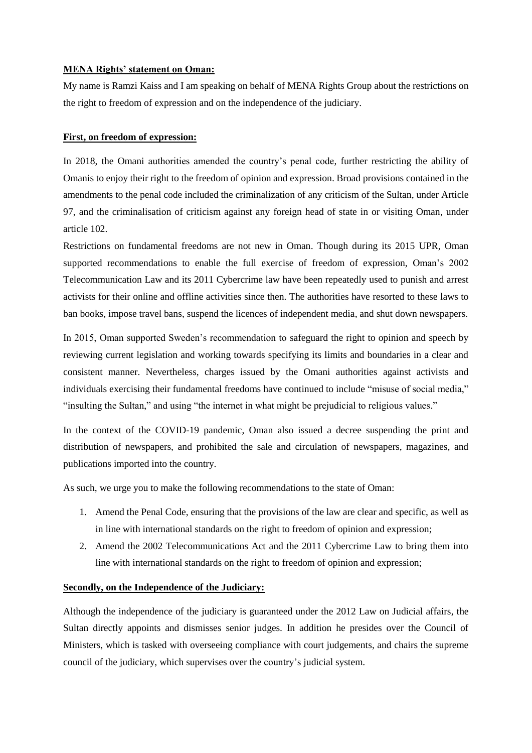## **MENA Rights' statement on Oman:**

My name is Ramzi Kaiss and I am speaking on behalf of MENA Rights Group about the restrictions on the right to freedom of expression and on the independence of the judiciary.

## **First, on freedom of expression:**

In 2018, the Omani authorities amended the country's penal code, further restricting the ability of Omanis to enjoy their right to the freedom of opinion and expression. Broad provisions contained in the amendments to the penal code included the criminalization of any criticism of the Sultan, under Article 97, and the criminalisation of criticism against any foreign head of state in or visiting Oman, under article 102.

Restrictions on fundamental freedoms are not new in Oman. Though during its 2015 UPR, Oman supported recommendations to enable the full exercise of freedom of expression, Oman's 2002 Telecommunication Law and its 2011 Cybercrime law have been repeatedly used to punish and arrest activists for their online and offline activities since then. The authorities have resorted to these laws to ban books, impose travel bans, suspend the licences of independent media, and shut down newspapers.

In 2015, Oman supported Sweden's recommendation to safeguard the right to opinion and speech by reviewing current legislation and working towards specifying its limits and boundaries in a clear and consistent manner. Nevertheless, charges issued by the Omani authorities against activists and individuals exercising their fundamental freedoms have continued to include "misuse of social media," "insulting the Sultan," and using "the internet in what might be prejudicial to religious values."

In the context of the COVID-19 pandemic, Oman also issued a decree suspending the print and distribution of newspapers, and prohibited the sale and circulation of newspapers, magazines, and publications imported into the country.

As such, we urge you to make the following recommendations to the state of Oman:

- 1. Amend the Penal Code, ensuring that the provisions of the law are clear and specific, as well as in line with international standards on the right to freedom of opinion and expression;
- 2. Amend the 2002 Telecommunications Act and the 2011 Cybercrime Law to bring them into line with international standards on the right to freedom of opinion and expression;

## **Secondly, on the Independence of the Judiciary:**

Although the independence of the judiciary is guaranteed under the 2012 Law on Judicial affairs, the Sultan directly appoints and dismisses senior judges. In addition he presides over the Council of Ministers, which is tasked with overseeing compliance with court judgements, and chairs the supreme council of the judiciary, which supervises over the country's judicial system.